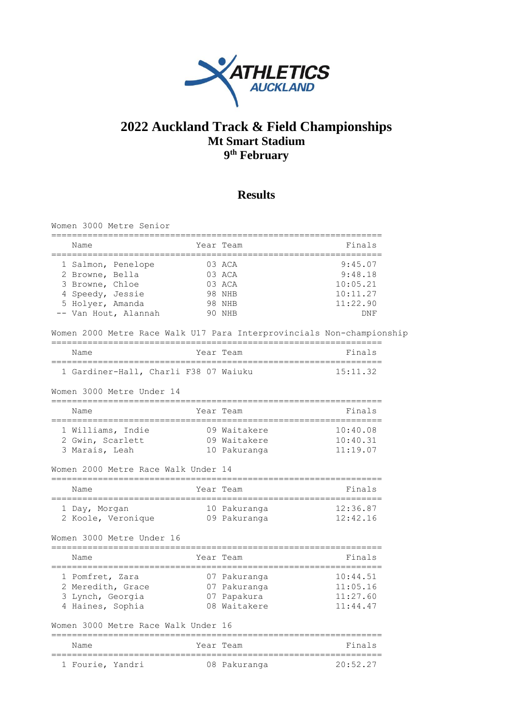

## **2022 Auckland Track & Field Championships Mt Smart Stadium 9 th February**

## **Results**

| Women 3000 Metre Senior                                               |              |                                    |
|-----------------------------------------------------------------------|--------------|------------------------------------|
| Name<br>===============                                               | Year Team    | Finals                             |
| 1 Salmon, Penelope                                                    | 03 ACA       | 9:45.07                            |
| 2 Browne, Bella                                                       | 03 ACA       | 9:48.18                            |
| 3 Browne, Chloe                                                       | 03 ACA       | 10:05.21                           |
| 4 Speedy, Jessie                                                      | 98 NHB       | 10:11.27                           |
| 5 Holyer, Amanda                                                      | 98 NHB       | 11:22.90                           |
| -- Van Hout, Alannah                                                  | 90 NHB       | DNF                                |
| Women 2000 Metre Race Walk U17 Para Interprovincials Non-championship |              |                                    |
| Name                                                                  | Year Team    | Finals                             |
| 1 Gardiner-Hall, Charli F38 07 Waiuku                                 |              | 15:11.32                           |
| Women 3000 Metre Under 14                                             |              |                                    |
| Name                                                                  | Year Team    | Finals<br>------------------------ |
| 1 Williams, Indie                                                     | 09 Waitakere | 10:40.08                           |
| 2 Gwin, Scarlett                                                      | 09 Waitakere | 10:40.31                           |
| 3 Marais, Leah                                                        | 10 Pakuranga | 11:19.07                           |
| Women 2000 Metre Race Walk Under 14                                   |              |                                    |
| Name                                                                  | Year Team    | Finals                             |
| 1 Day, Morgan                                                         | 10 Pakuranga | 12:36.87                           |
| 2 Koole, Veronique                                                    | 09 Pakuranga | 12:42.16                           |
| Women 3000 Metre Under 16                                             |              | ==============                     |
| Name                                                                  | Year Team    | Finals                             |
| 1 Pomfret, Zara                                                       | 07 Pakuranga | 10:44.51                           |
| 2 Meredith, Grace                                                     | 07 Pakuranga | 11:05.16                           |
| 3 Lynch, Georgia                                                      | 07 Papakura  | 11:27.60                           |
| 4 Haines, Sophia                                                      | 08 Waitakere | 11:44.47                           |
| Women 3000 Metre Race Walk Under 16                                   |              |                                    |
| Name                                                                  | Year Team    | Finals                             |
| 1 Fourie, Yandri                                                      | 08 Pakuranga | 20:52.27                           |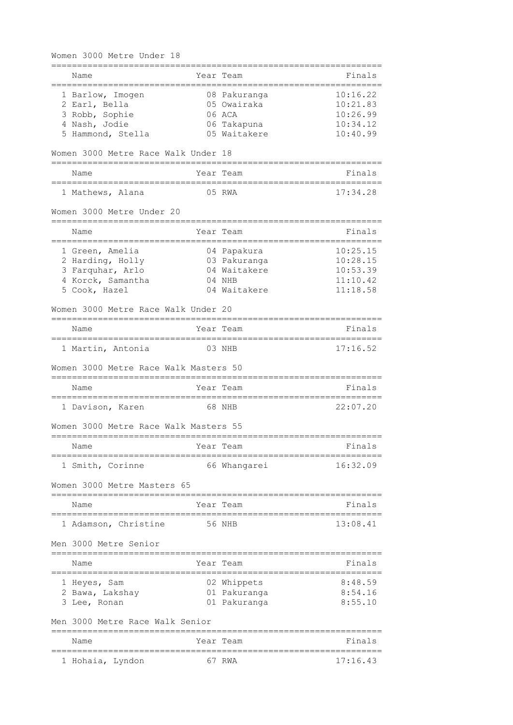Women 3000 Metre Under 18

| Name                                          |           | Year Team       | Finals                                |
|-----------------------------------------------|-----------|-----------------|---------------------------------------|
| 1 Barlow, Imogen                              |           | 08 Pakuranga    | 10:16.22                              |
| 2 Earl, Bella                                 |           | 05 Owairaka     | 10:21.83                              |
| 3 Robb, Sophie                                |           | 06 ACA          | 10:26.99                              |
| 4 Nash, Jodie                                 |           | 06 Takapuna     | 10:34.12                              |
| 5 Hammond, Stella                             |           | 05 Waitakere    | 10:40.99                              |
| Women 3000 Metre Race Walk Under 18           |           |                 |                                       |
| Name<br>_________                             |           | Year Team       | Finals                                |
| 1 Mathews, Alana                              |           | $  -$<br>05 RWA | 17:34.28                              |
| Women 3000 Metre Under 20                     |           |                 |                                       |
| Name                                          |           | Year Team       | Finals                                |
| 1 Green, Amelia                               |           | 04 Papakura     | 10:25.15                              |
| 2 Harding, Holly                              |           | 03 Pakuranga    | 10:28.15                              |
| 3 Farquhar, Arlo                              |           | 04 Waitakere    | 10:53.39                              |
| 4 Korck, Samantha                             |           | 04 NHB          | 11:10.42                              |
| 5 Cook, Hazel                                 |           | 04 Waitakere    | 11:18.58                              |
| Women 3000 Metre Race Walk Under 20           |           |                 |                                       |
| Name                                          |           | Year Team       | Finals                                |
| 1 Martin, Antonia                             |           | 03 NHB          | 17:16.52                              |
| Women 3000 Metre Race Walk Masters 50         |           |                 | ----------------                      |
| Name                                          |           | Year Team       | Finals                                |
| 1 Davison, Karen                              |           | 68 NHB          | 22:07.20                              |
| Women 3000 Metre Race Walk Masters 55         |           |                 |                                       |
| Name                                          | Year Team |                 | Finals                                |
| 1 Smith, Corinne                              |           | 66 Whangarei    | 16:32.09                              |
| Women 3000 Metre Masters 65                   |           |                 |                                       |
| Name                                          |           | Year Team       | Finals                                |
| 1 Adamson, Christine                          |           | 56 NHB          | 13:08.41                              |
| Men 3000 Metre Senior                         |           |                 |                                       |
| Name                                          |           | Year Team       | Finals                                |
| 1 Heyes, Sam                                  |           | 02 Whippets     | 8:48.59                               |
| 2 Bawa, Lakshay                               |           | 01 Pakuranga    | 8:54.16                               |
| 3 Lee, Ronan                                  |           | 01 Pakuranga    | 8:55.10                               |
| Men 3000 Metre Race Walk Senior               |           |                 |                                       |
| Name<br>===================================== |           | Year Team       | Finals<br>--------------------------- |
| 1 Hohaia, Lyndon                              |           | 67 RWA          | 17:16.43                              |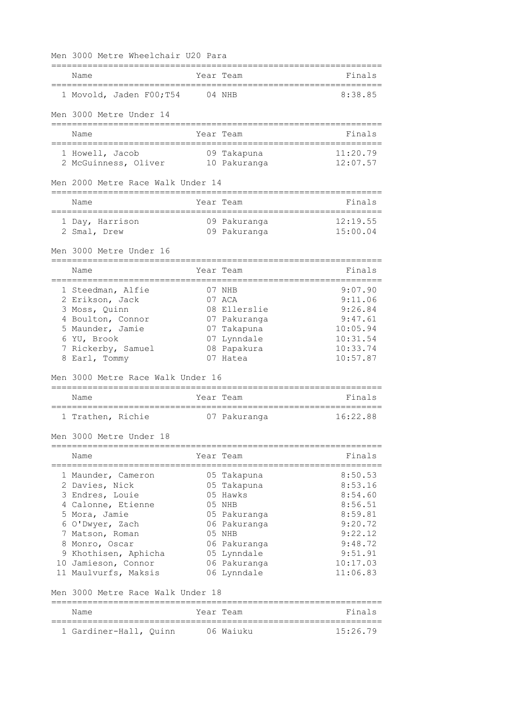Men 3000 Metre Wheelchair U20 Para

|                                                                                             | Name                                           |        | Year Team                    | Finals                               |  |  |
|---------------------------------------------------------------------------------------------|------------------------------------------------|--------|------------------------------|--------------------------------------|--|--|
|                                                                                             | 1 Movold, Jaden F00;T54                        | 04 NHB |                              | 8:38.85                              |  |  |
|                                                                                             | Men 3000 Metre Under 14                        |        |                              |                                      |  |  |
|                                                                                             | Name                                           |        | Year Team                    | Finals                               |  |  |
|                                                                                             | 1 Howell, Jacob                                |        | 09 Takapuna                  | 11:20.79                             |  |  |
|                                                                                             | 2 McGuinness, Oliver                           |        | 10 Pakuranga                 | 12:07.57                             |  |  |
| Men 2000 Metre Race Walk Under 14                                                           |                                                |        |                              |                                      |  |  |
|                                                                                             | Name<br>====================================== |        | Year Team                    | Finals<br>========================== |  |  |
|                                                                                             | 1 Day, Harrison<br>2 Smal, Drew                |        | 09 Pakuranga<br>09 Pakuranga | 12:19.55<br>15:00.04                 |  |  |
|                                                                                             | Men 3000 Metre Under 16                        |        |                              |                                      |  |  |
|                                                                                             |                                                |        |                              |                                      |  |  |
|                                                                                             | Name                                           |        | Year Team                    | Finals                               |  |  |
|                                                                                             | 1 Steedman, Alfie                              |        | 07 NHB                       | 9:07.90                              |  |  |
|                                                                                             | 2 Erikson, Jack                                |        | $07$ ACA                     | 9:11.06                              |  |  |
|                                                                                             | 3 Moss, Quinn                                  |        | 08 Ellerslie                 | 9:26.84                              |  |  |
|                                                                                             | 4 Boulton, Connor                              |        | 07 Pakuranga                 | 9:47.61                              |  |  |
|                                                                                             | 5 Maunder, Jamie                               |        | 07 Takapuna                  | 10:05.94                             |  |  |
|                                                                                             | 6 YU, Brook                                    |        | 07 Lynndale                  | 10:31.54                             |  |  |
|                                                                                             | 7 Rickerby, Samuel                             |        | 08 Papakura                  | 10:33.74                             |  |  |
|                                                                                             | 8 Earl, Tommy                                  |        | 07 Hatea                     | 10:57.87                             |  |  |
| Men 3000 Metre Race Walk Under 16<br>============================<br>______________________ |                                                |        |                              |                                      |  |  |
|                                                                                             | Name<br>_____________________________________  |        | Year Team                    | Finals                               |  |  |
|                                                                                             | 1 Trathen, Richie                              |        | 07 Pakuranga                 | 16:22.88                             |  |  |
|                                                                                             | Men 3000 Metre Under 18                        |        |                              |                                      |  |  |
|                                                                                             | Name                                           |        | Year Team                    | Finals                               |  |  |
|                                                                                             | 1 Maunder, Cameron                             |        | 05 Takapuna                  | 8:50.53                              |  |  |
|                                                                                             | 2 Davies, Nick                                 |        | 05 Takapuna                  | 8:53.16                              |  |  |
|                                                                                             | 3 Endres, Louie                                |        | 05 Hawks                     | 8:54.60                              |  |  |
|                                                                                             | 4 Calonne, Etienne                             |        | 05 NHB                       | 8:56.51                              |  |  |
|                                                                                             | 5 Mora, Jamie                                  |        | 05 Pakuranga                 | 8:59.81                              |  |  |
|                                                                                             | 6 O'Dwyer, Zach                                |        | 06 Pakuranga                 | 9:20.72                              |  |  |
|                                                                                             | 7 Matson, Roman                                |        | 05 NHB                       | 9:22.12                              |  |  |
|                                                                                             | 8 Monro, Oscar                                 |        | 06 Pakuranga                 | 9:48.72                              |  |  |
|                                                                                             | 9 Khothisen, Aphicha<br>10 Jamieson, Connor    |        | 05 Lynndale<br>06 Pakuranga  | 9:51.91<br>10:17.03                  |  |  |
|                                                                                             | 11 Maulvurfs, Maksis                           |        | 06 Lynndale                  | 11:06.83                             |  |  |
|                                                                                             | Men 3000 Metre Race Walk Under 18              |        |                              |                                      |  |  |
|                                                                                             | Year Team<br>Name                              |        |                              |                                      |  |  |
|                                                                                             | 1 Gardiner-Hall, Quinn                         |        | 06 Waiuku                    | Finals<br>15:26.79                   |  |  |
|                                                                                             |                                                |        |                              |                                      |  |  |